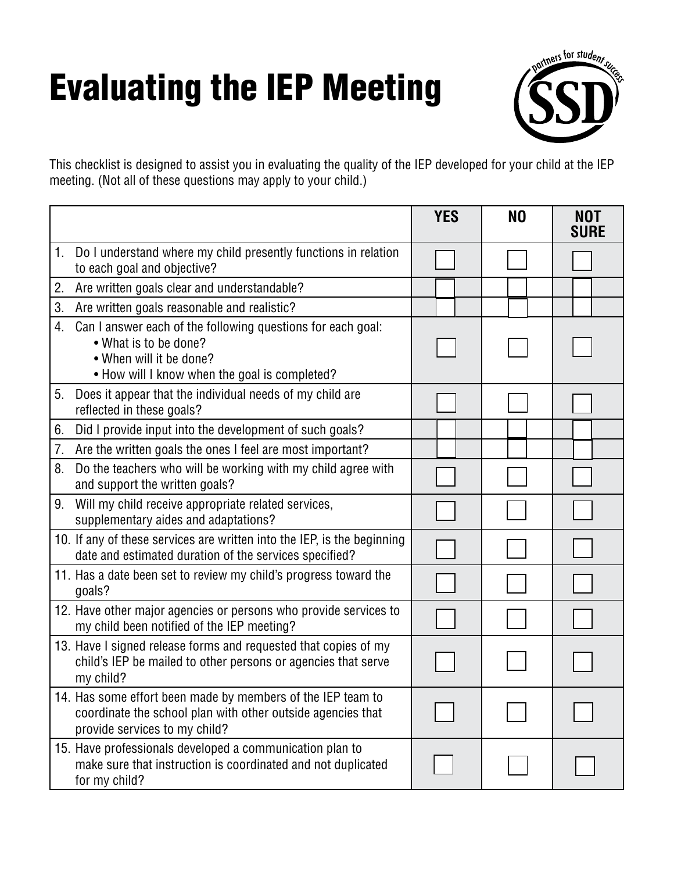## Evaluating the IEP Meeting



This checklist is designed to assist you in evaluating the quality of the IEP developed for your child at the IEP meeting. (Not all of these questions may apply to your child.)

|    |                                                                                                                                                                  | <b>YES</b> | N <sub>0</sub> | <b>NOT</b><br><b>SURE</b> |
|----|------------------------------------------------------------------------------------------------------------------------------------------------------------------|------------|----------------|---------------------------|
| 1. | Do I understand where my child presently functions in relation<br>to each goal and objective?                                                                    |            |                |                           |
| 2. | Are written goals clear and understandable?                                                                                                                      |            |                |                           |
| 3. | Are written goals reasonable and realistic?                                                                                                                      |            |                |                           |
| 4. | Can I answer each of the following questions for each goal:<br>• What is to be done?<br>• When will it be done?<br>. How will I know when the goal is completed? |            |                |                           |
| 5. | Does it appear that the individual needs of my child are<br>reflected in these goals?                                                                            |            |                |                           |
| 6. | Did I provide input into the development of such goals?                                                                                                          |            |                |                           |
| 7. | Are the written goals the ones I feel are most important?                                                                                                        |            |                |                           |
| 8. | Do the teachers who will be working with my child agree with<br>and support the written goals?                                                                   |            |                |                           |
| 9. | Will my child receive appropriate related services,<br>supplementary aides and adaptations?                                                                      |            |                |                           |
|    | 10. If any of these services are written into the IEP, is the beginning<br>date and estimated duration of the services specified?                                |            |                |                           |
|    | 11. Has a date been set to review my child's progress toward the<br>goals?                                                                                       |            |                |                           |
|    | 12. Have other major agencies or persons who provide services to<br>my child been notified of the IEP meeting?                                                   |            |                |                           |
|    | 13. Have I signed release forms and requested that copies of my<br>child's IEP be mailed to other persons or agencies that serve<br>my child?                    |            |                |                           |
|    | 14. Has some effort been made by members of the IEP team to<br>coordinate the school plan with other outside agencies that<br>provide services to my child?      |            |                |                           |
|    | 15. Have professionals developed a communication plan to<br>make sure that instruction is coordinated and not duplicated<br>for my child?                        |            |                |                           |